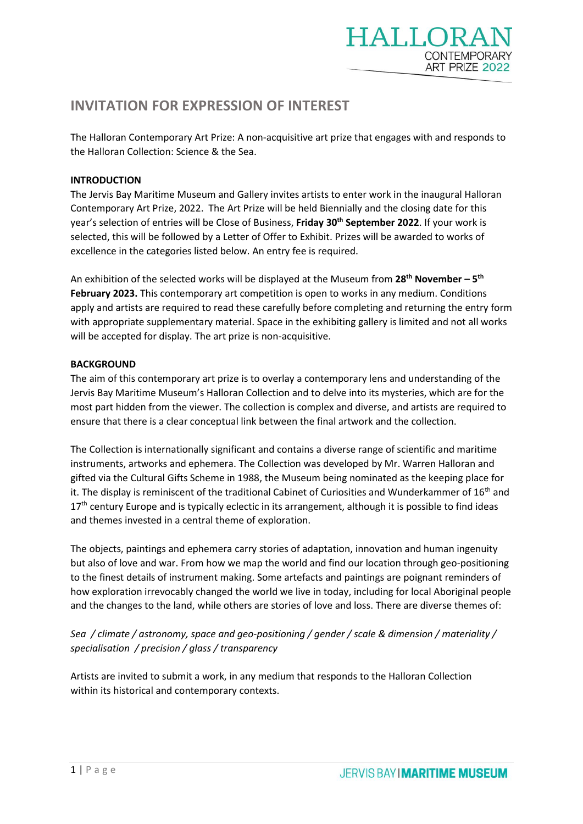

# **INVITATION FOR EXPRESSION OF INTEREST**

The Halloran Contemporary Art Prize: A non-acquisitive art prize that engages with and responds to the Halloran Collection: Science & the Sea.

## **INTRODUCTION**

The Jervis Bay Maritime Museum and Gallery invites artists to enter work in the inaugural Halloran Contemporary Art Prize, 2022. The Art Prize will be held Biennially and the closing date for this year's selection of entries will be Close of Business, **Friday 30 th September 2022**. If your work is selected, this will be followed by a Letter of Offer to Exhibit. Prizes will be awarded to works of excellence in the categories listed below. An entry fee is required.

An exhibition of the selected works will be displayed at the Museum from **28th November – 5 th February 2023.** This contemporary art competition is open to works in any medium. Conditions apply and artists are required to read these carefully before completing and returning the entry form with appropriate supplementary material. Space in the exhibiting gallery is limited and not all works will be accepted for display. The art prize is non-acquisitive.

## **BACKGROUND**

The aim of this contemporary art prize is to overlay a contemporary lens and understanding of the Jervis Bay Maritime Museum's Halloran Collection and to delve into its mysteries, which are for the most part hidden from the viewer. The collection is complex and diverse, and artists are required to ensure that there is a clear conceptual link between the final artwork and the collection.

The Collection is internationally significant and contains a diverse range of scientific and maritime instruments, artworks and ephemera. The Collection was developed by Mr. Warren Halloran and gifted via the Cultural Gifts Scheme in 1988, the Museum being nominated as the keeping place for it. The display is reminiscent of the traditional Cabinet of Curiosities and Wunderkammer of  $16<sup>th</sup>$  and 17<sup>th</sup> century Europe and is typically eclectic in its arrangement, although it is possible to find ideas and themes invested in a central theme of exploration.

The objects, paintings and ephemera carry stories of adaptation, innovation and human ingenuity but also of love and war. From how we map the world and find our location through geo-positioning to the finest details of instrument making. Some artefacts and paintings are poignant reminders of how exploration irrevocably changed the world we live in today, including for local Aboriginal people and the changes to the land, while others are stories of love and loss. There are diverse themes of:

*Sea / climate / astronomy, space and geo-positioning / gender / scale & dimension / materiality / specialisation / precision / glass / transparency* 

Artists are invited to submit a work, in any medium that responds to the Halloran Collection within its historical and contemporary contexts.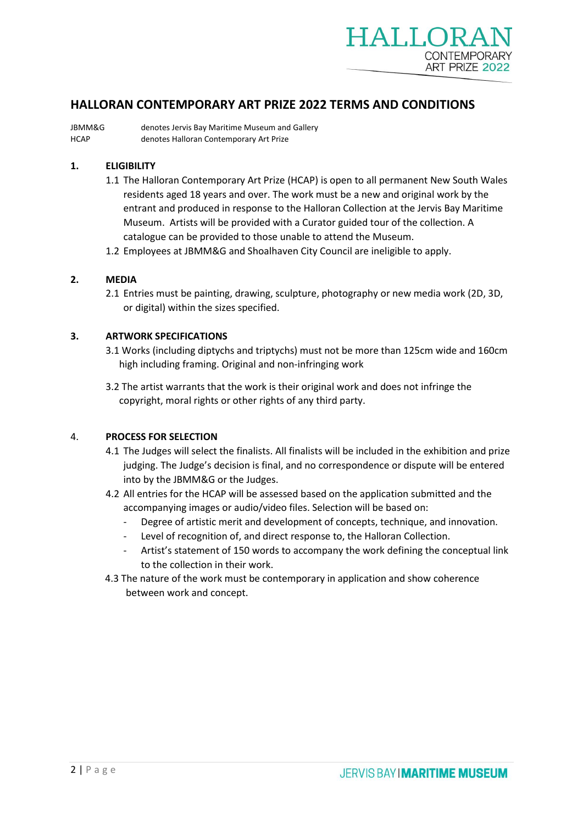

## **HALLORAN CONTEMPORARY ART PRIZE 2022 TERMS AND CONDITIONS**

JBMM&G denotes Jervis Bay Maritime Museum and Gallery HCAP denotes Halloran Contemporary Art Prize

## **1. ELIGIBILITY**

- 1.1 The Halloran Contemporary Art Prize (HCAP) is open to all permanent New South Wales residents aged 18 years and over. The work must be a new and original work by the entrant and produced in response to the Halloran Collection at the Jervis Bay Maritime Museum. Artists will be provided with a Curator guided tour of the collection. A catalogue can be provided to those unable to attend the Museum.
- 1.2 Employees at JBMM&G and Shoalhaven City Council are ineligible to apply.

#### **2. MEDIA**

2.1 Entries must be painting, drawing, sculpture, photography or new media work (2D, 3D, or digital) within the sizes specified.

#### **3. ARTWORK SPECIFICATIONS**

- 3.1 Works (including diptychs and triptychs) must not be more than 125cm wide and 160cm high including framing. Original and non-infringing work
- 3.2 The artist warrants that the work is their original work and does not infringe the copyright, moral rights or other rights of any third party.

#### 4. **PROCESS FOR SELECTION**

- 4.1 The Judges will select the finalists. All finalists will be included in the exhibition and prize judging. The Judge's decision is final, and no correspondence or dispute will be entered into by the JBMM&G or the Judges.
- 4.2 All entries for the HCAP will be assessed based on the application submitted and the accompanying images or audio/video files. Selection will be based on:
	- Degree of artistic merit and development of concepts, technique, and innovation.
	- Level of recognition of, and direct response to, the Halloran Collection.
	- Artist's statement of 150 words to accompany the work defining the conceptual link to the collection in their work.
- 4.3 The nature of the work must be contemporary in application and show coherence between work and concept.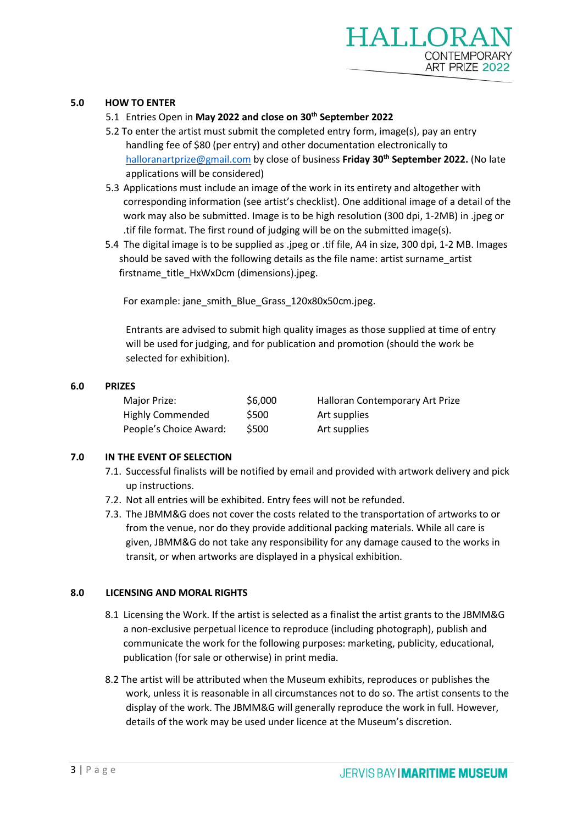## **5.0 HOW TO ENTER**

## 5.1 Entries Open in **May 2022 and close on 30 th September 2022**

- 5.2 To enter the artist must submit the completed entry form, image(s), pay an entry handling fee of \$80 (per entry) and other documentation electronically to [halloranartprize@gmail.com](mailto:halloranartprize@gmail.com) by close of business **Friday 30 th September 2022.** (No late applications will be considered)
- 5.3 Applications must include an image of the work in its entirety and altogether with corresponding information (see artist's checklist). One additional image of a detail of the work may also be submitted. Image is to be high resolution (300 dpi, 1-2MB) in .jpeg or .tif file format. The first round of judging will be on the submitted image(s).
- 5.4 The digital image is to be supplied as .jpeg or .tif file, A4 in size, 300 dpi, 1-2 MB. Images should be saved with the following details as the file name: artist surname\_artist firstname\_title\_HxWxDcm (dimensions).jpeg.

For example: jane\_smith\_Blue\_Grass\_120x80x50cm.jpeg.

Entrants are advised to submit high quality images as those supplied at time of entry will be used for judging, and for publication and promotion (should the work be selected for exhibition).

## **6.0 PRIZES**

| Major Prize:            | \$6,000 | Halloran Contemporary Art Prize |
|-------------------------|---------|---------------------------------|
| <b>Highly Commended</b> | \$500   | Art supplies                    |
| People's Choice Award:  | \$500   | Art supplies                    |

## **7.0 IN THE EVENT OF SELECTION**

- 7.1. Successful finalists will be notified by email and provided with artwork delivery and pick up instructions.
- 7.2. Not all entries will be exhibited. Entry fees will not be refunded.
- 7.3. The JBMM&G does not cover the costs related to the transportation of artworks to or from the venue, nor do they provide additional packing materials. While all care is given, JBMM&G do not take any responsibility for any damage caused to the works in transit, or when artworks are displayed in a physical exhibition.

## **8.0 LICENSING AND MORAL RIGHTS**

- 8.1 Licensing the Work. If the artist is selected as a finalist the artist grants to the JBMM&G a non-exclusive perpetual licence to reproduce (including photograph), publish and communicate the work for the following purposes: marketing, publicity, educational, publication (for sale or otherwise) in print media.
- 8.2 The artist will be attributed when the Museum exhibits, reproduces or publishes the work, unless it is reasonable in all circumstances not to do so. The artist consents to the display of the work. The JBMM&G will generally reproduce the work in full. However, details of the work may be used under licence at the Museum's discretion.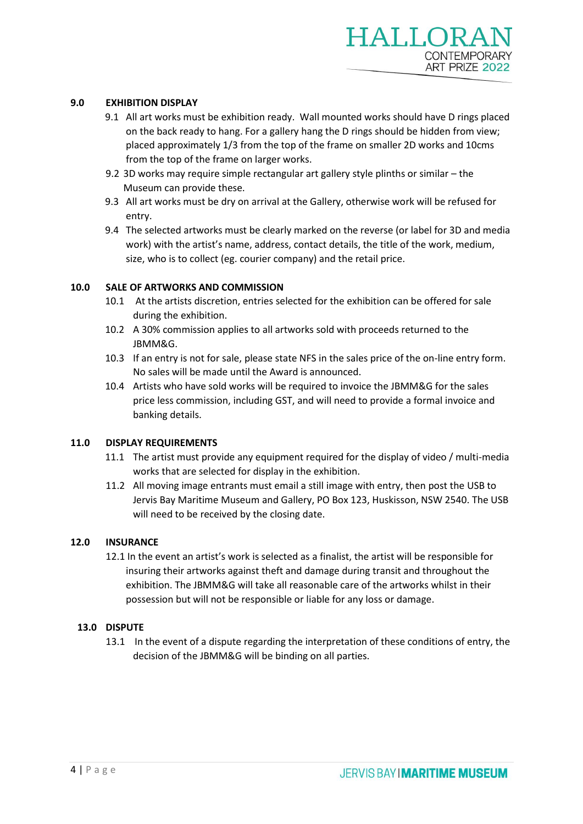## **9.0 EXHIBITION DISPLAY**

- 9.1 All art works must be exhibition ready. Wall mounted works should have D rings placed on the back ready to hang. For a gallery hang the D rings should be hidden from view; placed approximately 1/3 from the top of the frame on smaller 2D works and 10cms from the top of the frame on larger works.
- 9.2 3D works may require simple rectangular art gallery style plinths or similar the Museum can provide these.
- 9.3 All art works must be dry on arrival at the Gallery, otherwise work will be refused for entry.
- 9.4 The selected artworks must be clearly marked on the reverse (or label for 3D and media work) with the artist's name, address, contact details, the title of the work, medium, size, who is to collect (eg. courier company) and the retail price.

## **10.0 SALE OF ARTWORKS AND COMMISSION**

- 10.1 At the artists discretion, entries selected for the exhibition can be offered for sale during the exhibition.
- 10.2 A 30% commission applies to all artworks sold with proceeds returned to the JBMM&G.
- 10.3 If an entry is not for sale, please state NFS in the sales price of the on-line entry form. No sales will be made until the Award is announced.
- 10.4 Artists who have sold works will be required to invoice the JBMM&G for the sales price less commission, including GST, and will need to provide a formal invoice and banking details.

## **11.0 DISPLAY REQUIREMENTS**

- 11.1 The artist must provide any equipment required for the display of video / multi-media works that are selected for display in the exhibition.
- 11.2 All moving image entrants must email a still image with entry, then post the USB to Jervis Bay Maritime Museum and Gallery, PO Box 123, Huskisson, NSW 2540. The USB will need to be received by the closing date.

## **12.0 INSURANCE**

12.1 In the event an artist's work is selected as a finalist, the artist will be responsible for insuring their artworks against theft and damage during transit and throughout the exhibition. The JBMM&G will take all reasonable care of the artworks whilst in their possession but will not be responsible or liable for any loss or damage.

## **13.0 DISPUTE**

13.1 In the event of a dispute regarding the interpretation of these conditions of entry, the decision of the JBMM&G will be binding on all parties.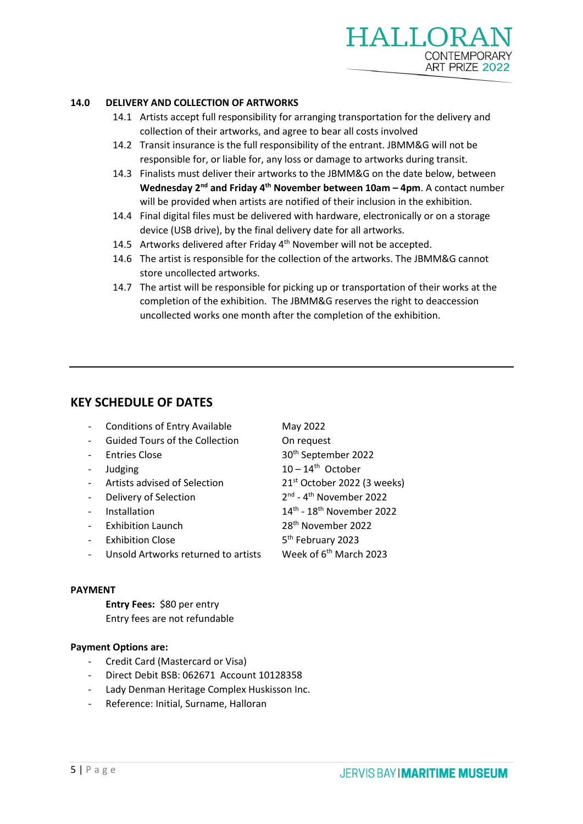

#### **14.0 DELIVERY AND COLLECTION OF ARTWORKS**

- 14.1 Artists accept full responsibility for arranging transportation for the delivery and collection of their artworks, and agree to bear all costs involved
- 14.2 Transit insurance is the full responsibility of the entrant. JBMM&G will not be responsible for, or liable for, any loss or damage to artworks during transit.
- 14.3 Finalists must deliver their artworks to the JBMM&G on the date below, between Wednesday 2<sup>nd</sup> and Friday 4<sup>th</sup> November between 10am – 4pm. A contact number will be provided when artists are notified of their inclusion in the exhibition.
- 14.4 Final digital files must be delivered with hardware, electronically or on a storage device (USB drive), by the final delivery date for all artworks.
- 14.5 Artworks delivered after Friday 4<sup>th</sup> November will not be accepted.
- 14.6 The artist is responsible for the collection of the artworks. The JBMM&G cannot store uncollected artworks.
- 14.7 The artist will be responsible for picking up or transportation of their works at the completion of the exhibition. The JBMM&G reserves the right to deaccession uncollected works one month after the completion of the exhibition.

## **KEY SCHEDULE OF DATES**

- Conditions of Entry Available May 2022
- Guided Tours of the Collection **On request**
- Entries Close
- 
- 
- Delivery of Selection
- Installation
- 
- Exhibition Close
- Unsold Artworks returned to artists Week of 6<sup>th</sup> March 2023

#### **PAYMENT**

**Entry Fees:** \$80 per entry Entry fees are not refundable

## **Payment Options are:**

- Credit Card (Mastercard or Visa)
- Direct Debit BSB: 062671 Account 10128358
- Lady Denman Heritage Complex Huskisson Inc.
- Reference: Initial, Surname, Halloran

30<sup>th</sup> September 2022 - Judging 10 – 14<sup>th</sup> October Artists advised of Selection 21<sup>st</sup> October 2022 (3 weeks) <sup>nd</sup> - 4<sup>th</sup> November 2022  $14<sup>th</sup> - 18<sup>th</sup>$  November 2022 Exhibition Launch 28<sup>th</sup> November 2022 5<sup>th</sup> February 2023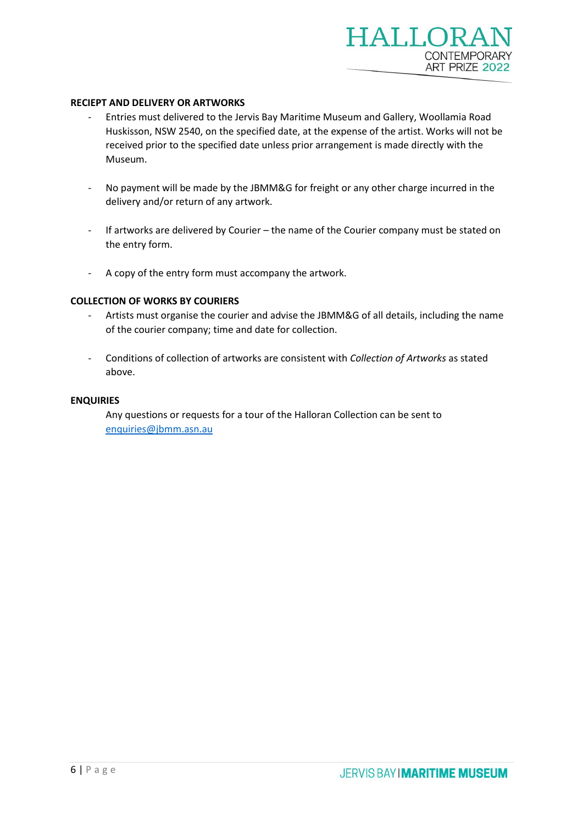#### **RECIEPT AND DELIVERY OR ARTWORKS**

- Entries must delivered to the Jervis Bay Maritime Museum and Gallery, Woollamia Road Huskisson, NSW 2540, on the specified date, at the expense of the artist. Works will not be received prior to the specified date unless prior arrangement is made directly with the Museum.
- No payment will be made by the JBMM&G for freight or any other charge incurred in the delivery and/or return of any artwork.
- If artworks are delivered by Courier the name of the Courier company must be stated on the entry form.
- A copy of the entry form must accompany the artwork.

#### **COLLECTION OF WORKS BY COURIERS**

- Artists must organise the courier and advise the JBMM&G of all details, including the name of the courier company; time and date for collection.
- Conditions of collection of artworks are consistent with *Collection of Artworks* as stated above.

## **ENQUIRIES**

Any questions or requests for a tour of the Halloran Collection can be sent to [enquiries@jbmm.asn.au](mailto:enquiries@jbmm.asn.au)